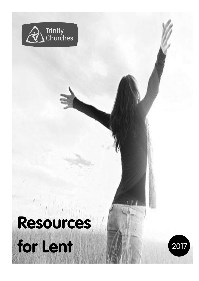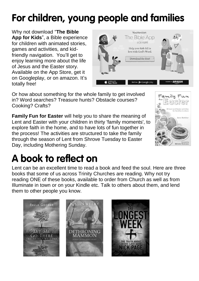# For children, young people and families

Why not download "**The Bible App for Kids**", a Bible experience for children with animated stories, games and activities, and kidfriendly navigation. You'll get to enjoy learning more about the life of Jesus and the Easter story. Available on the App Store, get it on Googleplay, or on amazon. It's totally free!



Or how about something for the whole family to get involved in? Word searches? Treasure hunts? Obstacle courses? Cooking? Crafts?

**Family Fun for Easter** will help you to share the meaning of Lent and Easter with your children in thirty 'family moments', to explore faith in the home, and to have lots of fun together in the process! The activities are structured to take the family through the season of Lent from Shrove Tuesday to Easter Day, including Mothering Sunday.



## A book to reflect on

Lent can be an excellent time to read a book and feed the soul. Here are three books that some of us across Trinity Churches are reading. Why not try reading ONE of these books, available to order from Church as well as from Illuminate in town or on your Kindle etc. Talk to others about them, and lend them to other people you know.

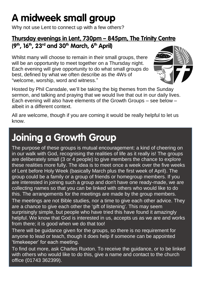## A midweek small group

Why not use Lent to connect up with a few others?

#### <u>Thursday evenings in Lent, 730pm – 845pm, The Trinity Centre</u> (9<sup>th</sup>, 16<sup>th</sup>, 23<sup>rd</sup> and 30<sup>th</sup> March, 6<sup>th</sup> April)

Whilst many will choose to remain in their small groups, there will be an opportunity to meet together on a Thursday night. Each evening will give opportunity to do what small groups do best, defined by what we often describe as the 4Ws of "welcome, worship, word and witness."



Hosted by Phil Cansdale, we'll be taking the big themes from the Sunday sermon, and talking and praying that we would live that out in our daily lives. Each evening will also have elements of the Growth Groups – see below – albeit in a different context.

All are welcome, though if you are coming it would be really helpful to let us know.

### **Joining a Growth Group**

The purpose of these groups is mutual encouragement: a kind of cheering on in our walk with God, recognising the realities of life as it really is! The groups are deliberately small (3 or 4 people) to give members the chance to explore these realities more fully. The idea is to meet once a week over the five weeks of Lent before Holy Week (basically March plus the first week of April). The group could be a family or a group of friends or homegroup members. If you are interested in joining such a group and don't have one ready-made, we are collecting names so that you can be linked with others who would like to do this. The arrangements for the meetings are made by the group members.

The meetings are not Bible studies, nor a time to give each other advice. They are a chance to give each other the 'gift of listening'. This may seem surprisingly simple, but people who have tried this have found it amazingly helpful. We know that God is interested in us, accepts us as we are and works from there; it is good when we do that too!

There will be guidance given for the groups, so there is no requirement for anyone to lead or teach, though it does help if someone can be appointed 'timekeeper' for each meeting.

To find out more, ask Charles Ruxton. To receive the guidance, or to be linked with others who would like to do this, give a name and contact to the church office (01743 362399).